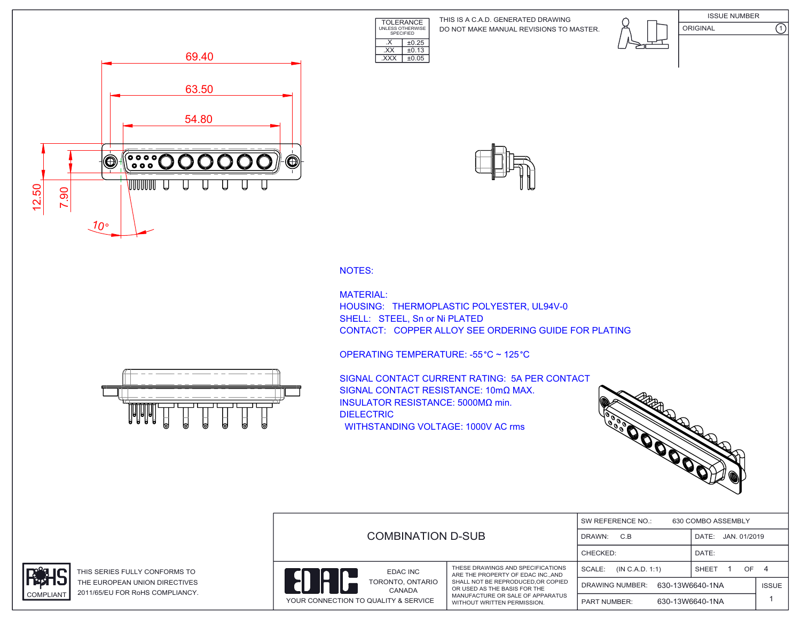TOLERANCE UNLESS OTHERWISE SPECIFIED DO NOT MAKE MANUAL REVISIONS TO MASTER. THIS IS A C.A.D. GENERATED DRAWING









NOTES:

MATERIAL: HOUSING: THERMOPLASTIC POLYESTER, UL94V-0 SHELL: STEEL, Sn or Ni PLATED CONTACT: COPPER ALLOY SEE ORDERING GUIDE FOR PLATING



 $\overline{\text{EXX}}$   $\pm 0.13$ .XXX ±0.05

 $\overline{\text{X}}$   $\pm 0.25$ 

SIGNAL CONTACT CURRENT RATING: 5A PER CONTACT SIGNAL CONTACT RESISTANCE: 10mΩ MAX. INSULATOR RESISTANCE: 5000MΩ min. DIELECTRIC WITHSTANDING VOLTAGE: 1000V AC rms



|                                        | <b>COMBINATION D-SUB</b>                                                                                                                                                                                      |                                           | SW REFERENCE NO.:<br>630 COMBO ASSEMBLY |              |  |  |
|----------------------------------------|---------------------------------------------------------------------------------------------------------------------------------------------------------------------------------------------------------------|-------------------------------------------|-----------------------------------------|--------------|--|--|
|                                        |                                                                                                                                                                                                               |                                           | DATE: JAN. 01/2019                      |              |  |  |
|                                        |                                                                                                                                                                                                               |                                           | DATE:                                   |              |  |  |
| EDAC INC<br>TORONTO, ONTARIO<br>CANADA | THESE DRAWINGS AND SPECIFICATIONS<br>ARE THE PROPERTY OF EDAC INCAND<br>SHALL NOT BE REPRODUCED, OR COPIED<br>OR USED AS THE BASIS FOR THE<br>MANUFACTURE OR SALE OF APPARATUS<br>WITHOUT WRITTEN PERMISSION. | SCALE:<br>(IN C.A.D. 1:1)                 | SHEET<br>OF 4                           |              |  |  |
|                                        |                                                                                                                                                                                                               | 630-13W6640-1NA<br><b>DRAWING NUMBER:</b> |                                         | <b>ISSUE</b> |  |  |
| YOUR CONNECTION TO QUALITY & SERVICE   |                                                                                                                                                                                                               | <b>PART NUMBER:</b>                       | 630-13W6640-1NA                         |              |  |  |





THIS SERIES FULLY CONFORMS TO THE EUROPEAN UNION DIRECTIVES COMPLIANT 2011/65/EU FOR RoHS COMPLIANCY.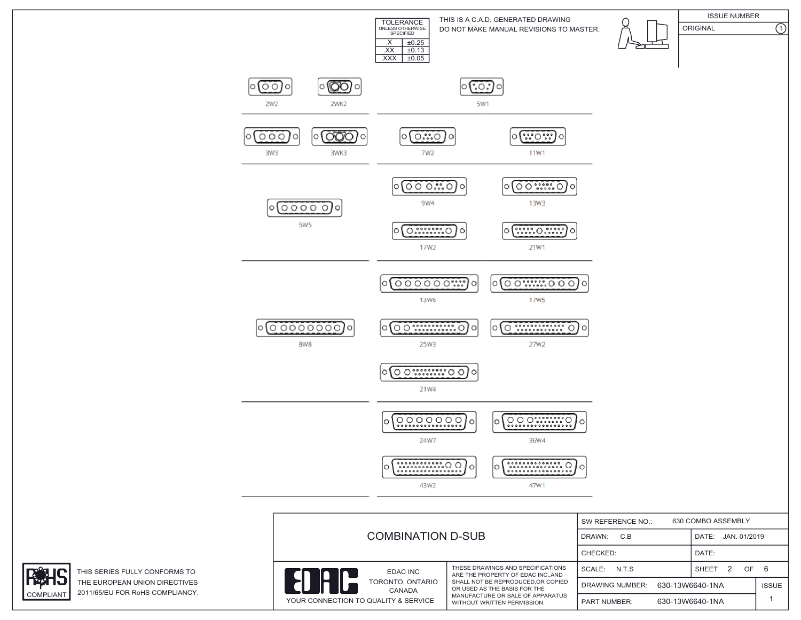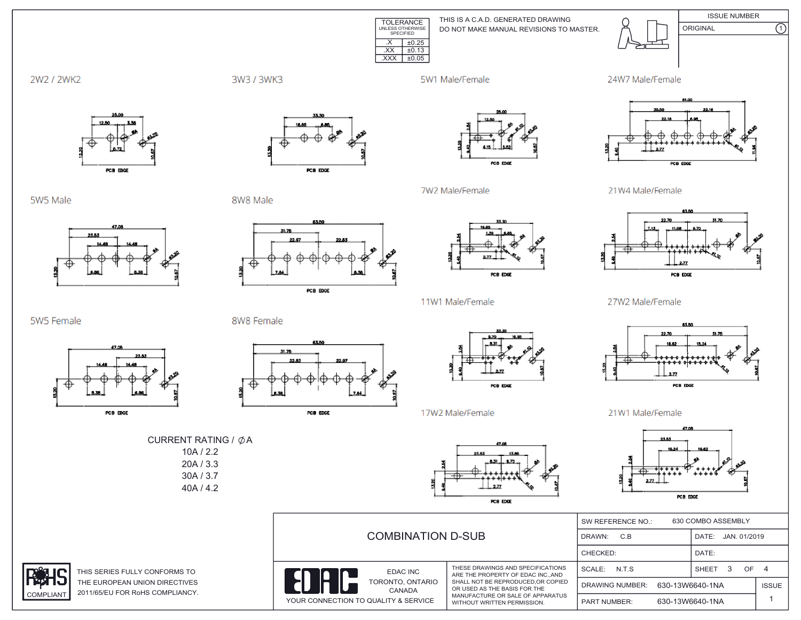

THIS IS A C.A.D. GENERATED DRAWING DO NOT MAKE MANUAL REVISIONS TO MASTER.



**ISSUE NUMBER**  $\overline{\Omega}$ ORIGINAL



3W3 / 3WK3

5W1 Male/Female

7W2 Male/Female





5W5 Male

5W5 Female



PCB EDGE

PCB EDGE

8W8 Male



PCB EDGE



POB EDGE

11W1 Male/Female

21W4 Male/Female



27W2 Male/Female



21W1 Male/Female



|                       | <b>COMBINATION D-SUB</b>                                           |                                                                                                                                      | 630 COMBO ASSEMBLY<br>SW REFERENCE NO.:   |                       |              |
|-----------------------|--------------------------------------------------------------------|--------------------------------------------------------------------------------------------------------------------------------------|-------------------------------------------|-----------------------|--------------|
|                       |                                                                    |                                                                                                                                      | DRAWN:<br>C.B                             | JAN. 01/2019<br>DATE: |              |
|                       |                                                                    |                                                                                                                                      | CHECKED:                                  | DATE:                 |              |
| IS TO                 | EDAC INC<br>IO                                                     | THESE DRAWINGS AND SPECIFICATIONS<br>ARE THE PROPERTY OF EDAC INCAND                                                                 | N.T.S<br>SCALE:                           | OF 4<br>SHEET         |              |
| <b>TIVES</b><br>ANCY. | TORONTO, ONTARIO<br>CANADA<br>YOUR CONNECTION TO QUALITY & SERVICE | SHALL NOT BE REPRODUCED.OR COPIED<br>OR USED AS THE BASIS FOR THE<br>MANUFACTURE OR SALE OF APPARATUS<br>WITHOUT WRITTEN PERMISSION. | 630-13W6640-1NA<br><b>DRAWING NUMBER:</b> |                       | <b>ISSUE</b> |
|                       |                                                                    |                                                                                                                                      | <b>PART NUMBER:</b>                       | 630-13W6640-1NA       |              |

8W8 Female

CURRENT RATING / ØA

 $10A / 2.2$  $20A / 3.3$  $30A / 3.7$ 40A / 4.2











17W2 Male/Female



PCB EDGE